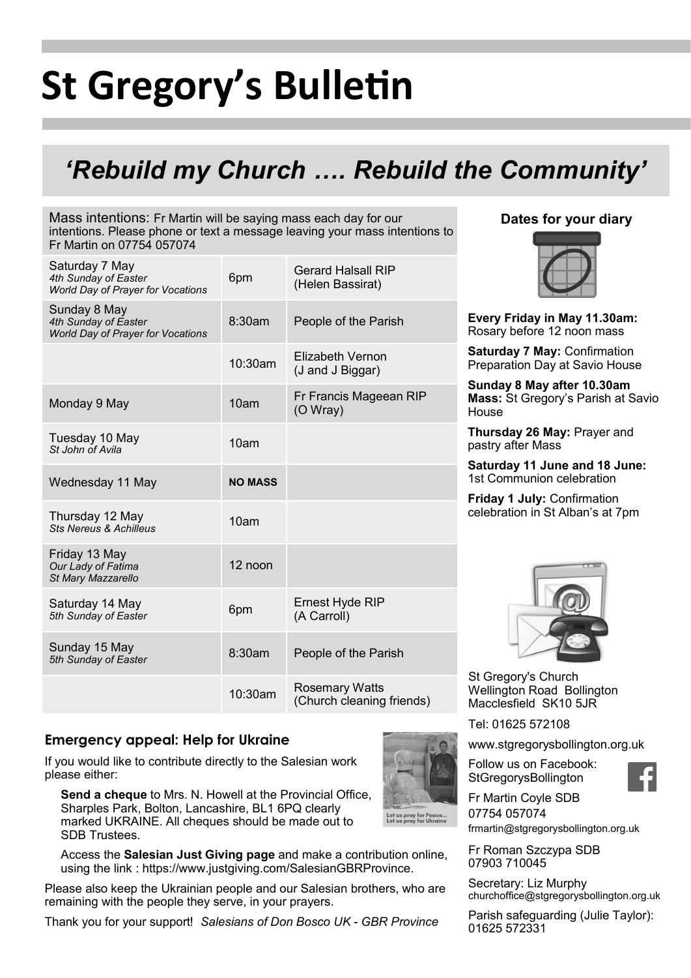# **St Gregory's Bulletin**

### *'Rebuild my Church …. Rebuild the Community'*

Mass intentions: Fr Martin will be saying mass each day for our intentions. Please phone or text a message leaving your mass intentions to Fr Martin on 07754 057074

| Saturday 7 May<br>4th Sunday of Easter<br>World Day of Prayer for Vocations      | 6pm              | <b>Gerard Halsall RIP</b><br>(Helen Bassirat)      |
|----------------------------------------------------------------------------------|------------------|----------------------------------------------------|
| Sunday 8 May<br>4th Sunday of Easter<br><b>World Day of Prayer for Vocations</b> | 8:30am           | People of the Parish                               |
|                                                                                  | 10:30am          | Elizabeth Vernon<br>(J and J Biggar)               |
| Monday 9 May                                                                     | 10am             | Fr Francis Mageean RIP<br>(O Wray)                 |
| Tuesday 10 May<br>St John of Avila                                               | 10am             |                                                    |
| Wednesday 11 May                                                                 | <b>NO MASS</b>   |                                                    |
| Thursday 12 May<br><b>Sts Nereus &amp; Achilleus</b>                             | 10 <sub>am</sub> |                                                    |
| Friday 13 May<br>Our Lady of Fatima<br>St Mary Mazzarello                        | 12 noon          |                                                    |
| Saturday 14 May<br>5th Sunday of Easter                                          | 6pm              | Ernest Hyde RIP<br>(A Carroll)                     |
| Sunday 15 May<br>5th Sunday of Easter                                            | 8:30am           | People of the Parish                               |
|                                                                                  | 10:30am          | <b>Rosemary Watts</b><br>(Church cleaning friends) |

#### **Dates for your diary**



**Every Friday in May 11.30am:**  Rosary before 12 noon mass

**Saturday 7 May:** Confirmation Preparation Day at Savio House

**Sunday 8 May after 10.30am Mass:** St Gregory's Parish at Savio House

**Thursday 26 May:** Prayer and pastry after Mass

**Saturday 11 June and 18 June:**  1st Communion celebration

**Friday 1 July:** Confirmation celebration in St Alban's at 7pm



St Gregory's Church Wellington Road Bollington Macclesfield SK10 5JR

Tel: 01625 572108

www.stgregorysbollington.org.uk

Follow us on Facebook: **StGregorysBollington** 



Fr Martin Coyle SDB 07754 057074 frmartin@stgregorysbollington.org.uk

Fr Roman Szczypa SDB 07903 710045

Secretary: Liz Murphy churchoffice@stgregorysbollington.org.uk

Parish safeguarding (Julie Taylor): 01625 572331

**Emergency appeal: Help for Ukraine**

If you would like to contribute directly to the Salesian work please either:

**Send a cheque** to Mrs. N. Howell at the Provincial Office, Sharples Park, Bolton, Lancashire, BL1 6PQ clearly marked UKRAINE. All cheques should be made out to SDB Trustees.

Access the **Salesian Just Giving page** and make a contribution online, using the link : https://www.justgiving.com/SalesianGBRProvince.

Please also keep the Ukrainian people and our Salesian brothers, who are remaining with the people they serve, in your prayers.

Thank you for your support! *Salesians of Don Bosco UK - GBR Province*